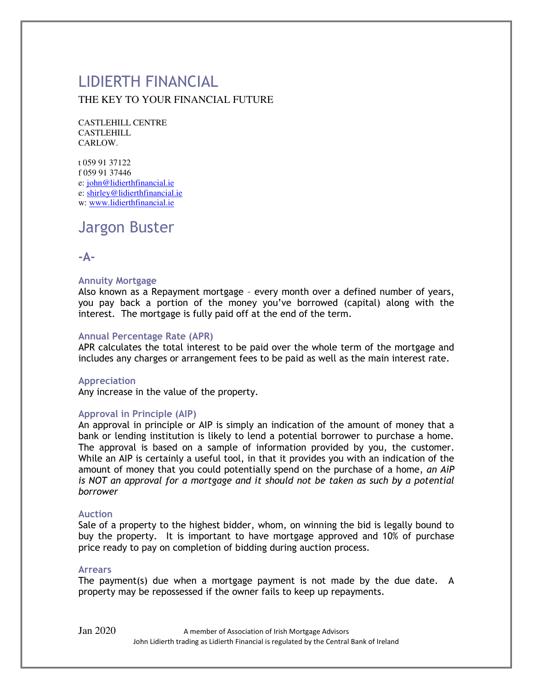# LIDIERTH FINANCIAL THE KEY TO YOUR FINANCIAL FUTURE

CASTLEHILL CENTRE CASTLEHILL CARLOW.

t 059 91 37122 f 059 91 37446 e[: john@lidierthfinancial.ie](mailto:john@lidierthfinancial.ie) e[: shirley@lidierthfinancial.ie](mailto:shirley@lidierthfinancial.ie)  w: [www.lidierthfinancial.ie](http://www.lidierthfinancial.ie/)

# Jargon Buster

# **-A-**

### **Annuity Mortgage**

Also known as a Repayment mortgage – every month over a defined number of years, you pay back a portion of the money you've borrowed (capital) along with the interest. The mortgage is fully paid off at the end of the term.

### **Annual Percentage Rate (APR)**

APR calculates the total interest to be paid over the whole term of the mortgage and includes any charges or arrangement fees to be paid as well as the main interest rate.

#### **Appreciation**

Any increase in the value of the property.

#### **Approval in Principle (AIP)**

An approval in principle or AIP is simply an indication of the amount of money that a bank or lending institution is likely to lend a potential borrower to purchase a home. The approval is based on a sample of information provided by you, the customer. While an AIP is certainly a useful tool, in that it provides you with an indication of the amount of money that you could potentially spend on the purchase of a home, *an AiP*  is NOT an approval for a mortgage and it should not be taken as such by a potential *borrower*

#### **Auction**

Sale of a property to the highest bidder, whom, on winning the bid is legally bound to buy the property. It is important to have mortgage approved and 10% of purchase price ready to pay on completion of bidding during auction process.

#### **Arrears**

The payment(s) due when a mortgage payment is not made by the due date. A property may be repossessed if the owner fails to keep up repayments.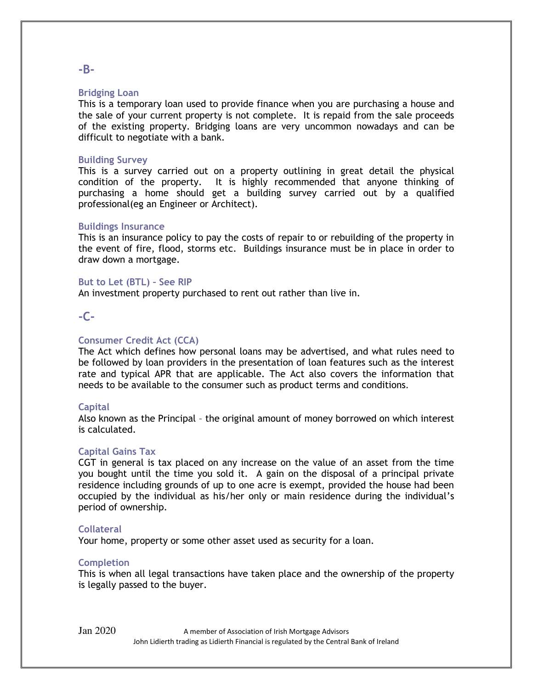### **Bridging Loan**

This is a temporary loan used to provide finance when you are purchasing a house and the sale of your current property is not complete. It is repaid from the sale proceeds of the existing property. Bridging loans are very uncommon nowadays and can be difficult to negotiate with a bank.

#### **Building Survey**

This is a survey carried out on a property outlining in great detail the physical condition of the property. It is highly recommended that anyone thinking of purchasing a home should get a building survey carried out by a qualified professional(eg an Engineer or Architect).

#### **Buildings Insurance**

This is an insurance policy to pay the costs of repair to or rebuilding of the property in the event of fire, flood, storms etc. Buildings insurance must be in place in order to draw down a mortgage.

#### **But to Let (BTL) – See RIP**

An investment property purchased to rent out rather than live in.

# **-C-**

#### **Consumer Credit Act (CCA)**

The Act which defines how personal loans may be advertised, and what rules need to be followed by loan providers in the presentation of loan features such as the interest rate and typical APR that are applicable. The Act also covers the information that needs to be available to the consumer such as product terms and conditions.

#### **Capital**

Also known as the Principal – the original amount of money borrowed on which interest is calculated.

#### **Capital Gains Tax**

CGT in general is tax placed on any increase on the value of an asset from the time you bought until the time you sold it. A gain on the disposal of a principal private residence including grounds of up to one acre is exempt, provided the house had been occupied by the individual as his/her only or main residence during the individual's period of ownership.

#### **Collateral**

Your home, property or some other asset used as security for a loan.

#### **Completion**

This is when all legal transactions have taken place and the ownership of the property is legally passed to the buyer.

#### **-B-**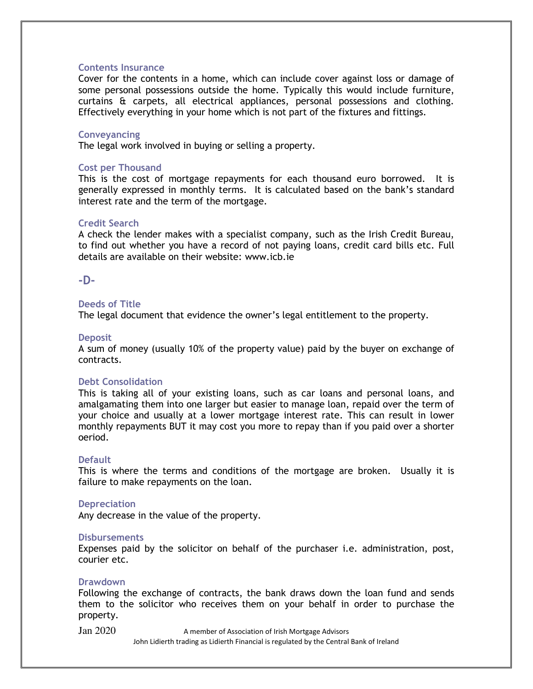#### **Contents Insurance**

Cover for the contents in a home, which can include cover against loss or damage of some personal possessions outside the home. Typically this would include furniture, curtains & carpets, all electrical appliances, personal possessions and clothing. Effectively everything in your home which is not part of the fixtures and fittings.

#### **Conveyancing**

The legal work involved in buying or selling a property.

#### **Cost per Thousand**

This is the cost of mortgage repayments for each thousand euro borrowed. It is generally expressed in monthly terms. It is calculated based on the bank's standard interest rate and the term of the mortgage.

#### **Credit Search**

A check the lender makes with a specialist company, such as the Irish Credit Bureau, to find out whether you have a record of not paying loans, credit card bills etc. Full details are available on their website: www.icb.ie

#### **-D-**

#### **Deeds of Title**

The legal document that evidence the owner's legal entitlement to the property.

#### **Deposit**

A sum of money (usually 10% of the property value) paid by the buyer on exchange of contracts.

#### **Debt Consolidation**

This is taking all of your existing loans, such as car loans and personal loans, and amalgamating them into one larger but easier to manage loan, repaid over the term of your choice and usually at a lower mortgage interest rate. This can result in lower monthly repayments BUT it may cost you more to repay than if you paid over a shorter oeriod.

#### **Default**

This is where the terms and conditions of the mortgage are broken. Usually it is failure to make repayments on the loan.

#### **Depreciation**

Any decrease in the value of the property.

#### **Disbursements**

Expenses paid by the solicitor on behalf of the purchaser i.e. administration, post, courier etc.

#### **Drawdown**

Following the exchange of contracts, the bank draws down the loan fund and sends them to the solicitor who receives them on your behalf in order to purchase the property.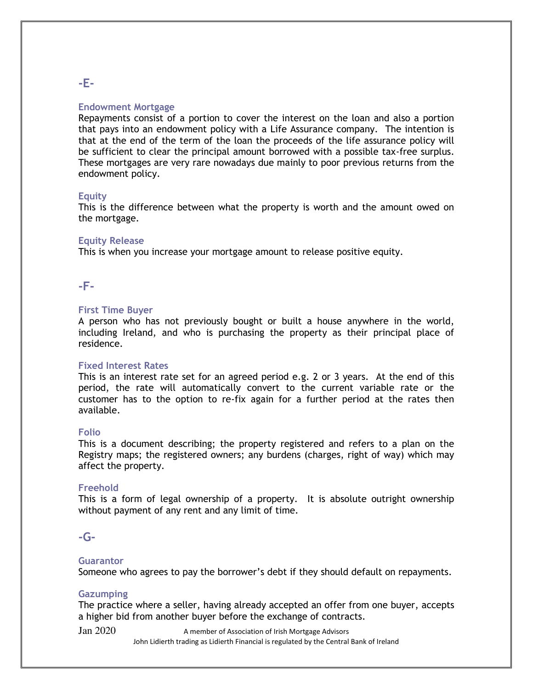# **Endowment Mortgage**

Repayments consist of a portion to cover the interest on the loan and also a portion that pays into an endowment policy with a Life Assurance company. The intention is that at the end of the term of the loan the proceeds of the life assurance policy will be sufficient to clear the principal amount borrowed with a possible tax-free surplus. These mortgages are very rare nowadays due mainly to poor previous returns from the endowment policy.

#### **Equity**

This is the difference between what the property is worth and the amount owed on the mortgage.

#### **Equity Release**

This is when you increase your mortgage amount to release positive equity.

# **-F-**

#### **First Time Buyer**

A person who has not previously bought or built a house anywhere in the world, including Ireland, and who is purchasing the property as their principal place of residence.

#### **Fixed Interest Rates**

This is an interest rate set for an agreed period e.g. 2 or 3 years. At the end of this period, the rate will automatically convert to the current variable rate or the customer has to the option to re-fix again for a further period at the rates then available.

#### **Folio**

This is a document describing; the property registered and refers to a plan on the Registry maps; the registered owners; any burdens (charges, right of way) which may affect the property.

#### **Freehold**

This is a form of legal ownership of a property. It is absolute outright ownership without payment of any rent and any limit of time.

# **-G-**

#### **Guarantor**

Someone who agrees to pay the borrower's debt if they should default on repayments.

#### **Gazumping**

The practice where a seller, having already accepted an offer from one buyer, accepts a higher bid from another buyer before the exchange of contracts.

 $Jan 2020$  A member of Association of Irish Mortgage Advisors John Lidierth trading as Lidierth Financial is regulated by the Central Bank of Ireland

# **-E-**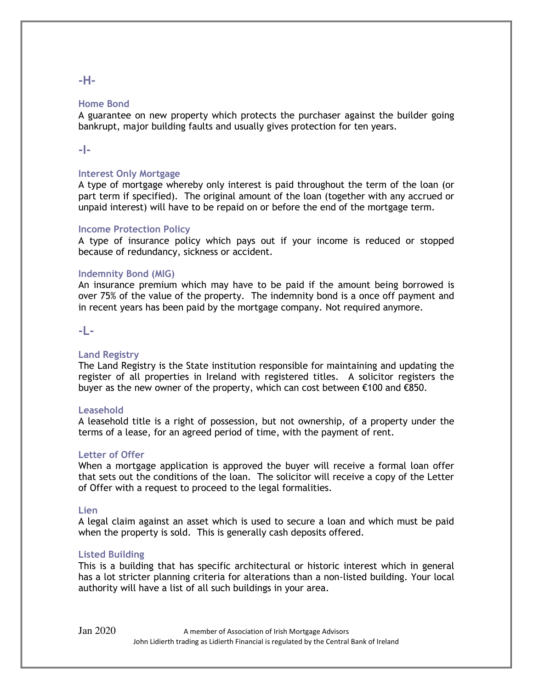**-H-**

#### **Home Bond**

A guarantee on new property which protects the purchaser against the builder going bankrupt, major building faults and usually gives protection for ten years.

# **-I-**

# **Interest Only Mortgage**

A type of mortgage whereby only interest is paid throughout the term of the loan (or part term if specified). The original amount of the loan (together with any accrued or unpaid interest) will have to be repaid on or before the end of the mortgage term.

### **Income Protection Policy**

A type of insurance policy which pays out if your income is reduced or stopped because of redundancy, sickness or accident.

### **Indemnity Bond (MIG)**

An insurance premium which may have to be paid if the amount being borrowed is over 75% of the value of the property. The indemnity bond is a once off payment and in recent years has been paid by the mortgage company. Not required anymore.

# **-L-**

# **Land Registry**

The Land Registry is the State institution responsible for maintaining and updating the register of all properties in Ireland with registered titles. A solicitor registers the buyer as the new owner of the property, which can cost between €100 and €850.

#### **Leasehold**

A leasehold title is a right of possession, but not ownership, of a property under the terms of a lease, for an agreed period of time, with the payment of rent.

#### **Letter of Offer**

When a mortgage application is approved the buyer will receive a formal loan offer that sets out the conditions of the loan. The solicitor will receive a copy of the Letter of Offer with a request to proceed to the legal formalities.

#### **Lien**

A legal claim against an asset which is used to secure a loan and which must be paid when the property is sold. This is generally cash deposits offered.

#### **Listed Building**

This is a building that has specific architectural or historic interest which in general has a lot stricter planning criteria for alterations than a non-listed building. Your local authority will have a list of all such buildings in your area.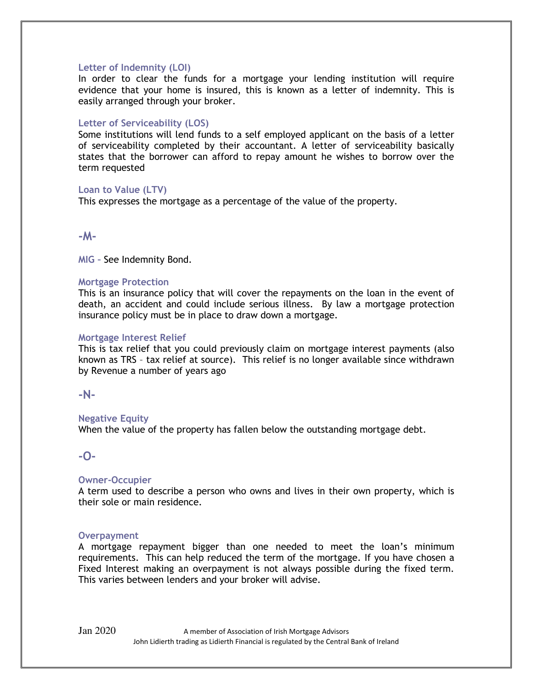# **Letter of Indemnity (LOI)**

In order to clear the funds for a mortgage your lending institution will require evidence that your home is insured, this is known as a letter of indemnity. This is easily arranged through your broker.

#### **Letter of Serviceability (LOS)**

Some institutions will lend funds to a self employed applicant on the basis of a letter of serviceability completed by their accountant. A letter of serviceability basically states that the borrower can afford to repay amount he wishes to borrow over the term requested

### **Loan to Value (LTV)**

This expresses the mortgage as a percentage of the value of the property.

**-M-**

**MIG –** See Indemnity Bond.

#### **Mortgage Protection**

This is an insurance policy that will cover the repayments on the loan in the event of death, an accident and could include serious illness. By law a mortgage protection insurance policy must be in place to draw down a mortgage.

### **Mortgage Interest Relief**

This is tax relief that you could previously claim on mortgage interest payments (also known as TRS – tax relief at source). This relief is no longer available since withdrawn by Revenue a number of years ago

#### **-N-**

# **Negative Equity**

When the value of the property has fallen below the outstanding mortgage debt.

# **-O-**

# **Owner-Occupier**

A term used to describe a person who owns and lives in their own property, which is their sole or main residence.

#### **Overpayment**

A mortgage repayment bigger than one needed to meet the loan's minimum requirements. This can help reduced the term of the mortgage. If you have chosen a Fixed Interest making an overpayment is not always possible during the fixed term. This varies between lenders and your broker will advise.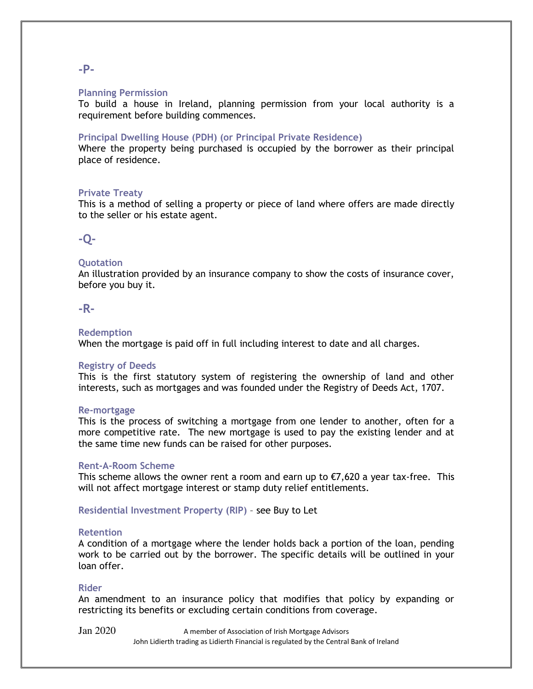# **-P-**

#### **Planning Permission**

To build a house in Ireland, planning permission from your local authority is a requirement before building commences.

#### **Principal Dwelling House (PDH) (or Principal Private Residence)**

Where the property being purchased is occupied by the borrower as their principal place of residence.

# **Private Treaty**

This is a method of selling a property or piece of land where offers are made directly to the seller or his estate agent.

# **-Q-**

### **Quotation**

An illustration provided by an insurance company to show the costs of insurance cover, before you buy it.

# **-R-**

#### **Redemption**

When the mortgage is paid off in full including interest to date and all charges.

# **Registry of Deeds**

This is the first statutory system of registering the ownership of land and other interests, such as mortgages and was founded under the Registry of Deeds Act, 1707.

#### **Re-mortgage**

This is the process of switching a mortgage from one lender to another, often for a more competitive rate. The new mortgage is used to pay the existing lender and at the same time new funds can be raised for other purposes.

#### **Rent-A-Room Scheme**

This scheme allows the owner rent a room and earn up to  $\epsilon$ 7,620 a year tax-free. This will not affect mortgage interest or stamp duty relief entitlements.

**Residential Investment Property (RIP)** – see Buy to Let

#### **Retention**

A condition of a mortgage where the lender holds back a portion of the loan, pending work to be carried out by the borrower. The specific details will be outlined in your loan offer.

#### **Rider**

An amendment to an insurance policy that modifies that policy by expanding or restricting its benefits or excluding certain conditions from coverage.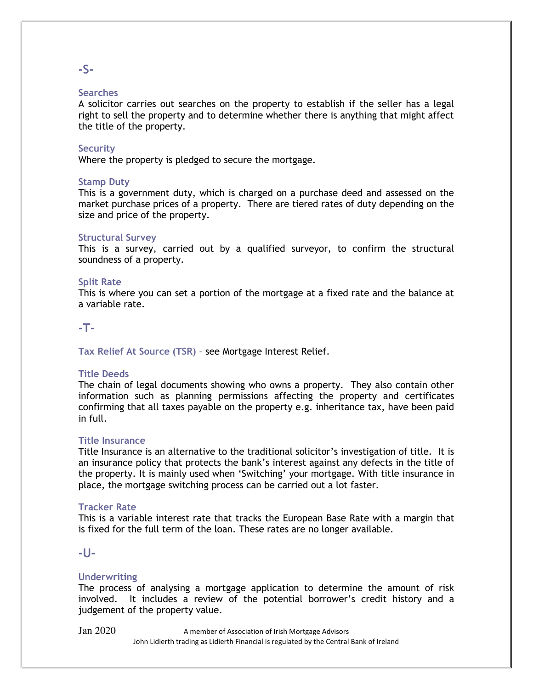# **-S-**

### **Searches**

A solicitor carries out searches on the property to establish if the seller has a legal right to sell the property and to determine whether there is anything that might affect the title of the property.

### **Security**

Where the property is pledged to secure the mortgage.

### **Stamp Duty**

This is a government duty, which is charged on a purchase deed and assessed on the market purchase prices of a property. There are tiered rates of duty depending on the size and price of the property.

### **Structural Survey**

This is a survey, carried out by a qualified surveyor, to confirm the structural soundness of a property.

### **Split Rate**

This is where you can set a portion of the mortgage at a fixed rate and the balance at a variable rate.

### **-T-**

**Tax Relief At Source (TSR)** – see Mortgage Interest Relief.

#### **Title Deeds**

The chain of legal documents showing who owns a property. They also contain other information such as planning permissions affecting the property and certificates confirming that all taxes payable on the property e.g. inheritance tax, have been paid in full.

#### **Title Insurance**

Title Insurance is an alternative to the traditional solicitor's investigation of title. It is an insurance policy that protects the bank's interest against any defects in the title of the property. It is mainly used when 'Switching' your mortgage. With title insurance in place, the mortgage switching process can be carried out a lot faster.

#### **Tracker Rate**

This is a variable interest rate that tracks the European Base Rate with a margin that is fixed for the full term of the loan. These rates are no longer available.

# **-U-**

# **Underwriting**

The process of analysing a mortgage application to determine the amount of risk involved. It includes a review of the potential borrower's credit history and a judgement of the property value.